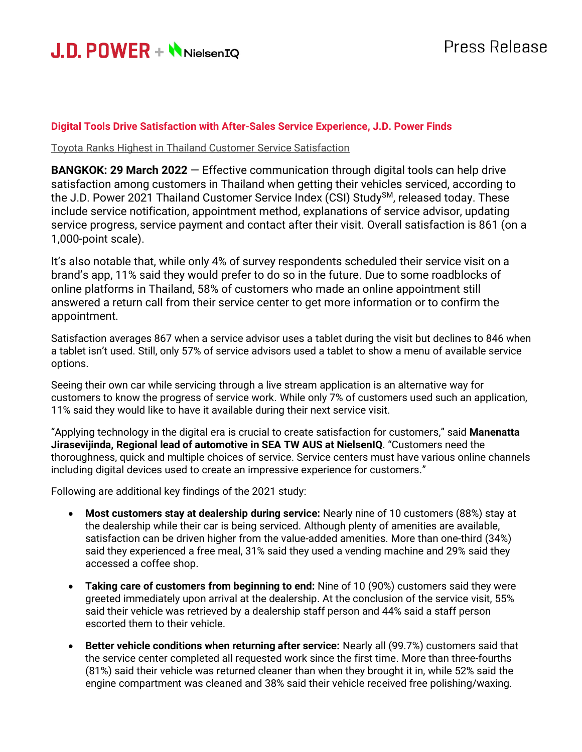

## **Digital Tools Drive Satisfaction with After-Sales Service Experience, J.D. Power Finds**

Toyota Ranks Highest in Thailand Customer Service Satisfaction

**BANGKOK: 29 March 2022** – Effective communication through digital tools can help drive satisfaction among customers in Thailand when getting their vehicles serviced, according to the J.D. Power 2021 Thailand Customer Service Index (CSI) Study<sup>SM</sup>, released today. These include service notification, appointment method, explanations of service advisor, updating service progress, service payment and contact after their visit. Overall satisfaction is 861 (on a 1,000-point scale).

It's also notable that, while only 4% of survey respondents scheduled their service visit on a brand's app, 11% said they would prefer to do so in the future. Due to some roadblocks of online platforms in Thailand, 58% of customers who made an online appointment still answered a return call from their service center to get more information or to confirm the appointment.

Satisfaction averages 867 when a service advisor uses a tablet during the visit but declines to 846 when a tablet isn't used. Still, only 57% of service advisors used a tablet to show a menu of available service options.

Seeing their own car while servicing through a live stream application is an alternative way for customers to know the progress of service work. While only 7% of customers used such an application, 11% said they would like to have it available during their next service visit.

"Applying technology in the digital era is crucial to create satisfaction for customers," said **Manenatta Jirasevijinda, Regional lead of automotive in SEA TW AUS at NielsenIQ**. "Customers need the thoroughness, quick and multiple choices of service. Service centers must have various online channels including digital devices used to create an impressive experience for customers."

Following are additional key findings of the 2021 study:

- **Most customers stay at dealership during service:** Nearly nine of 10 customers (88%) stay at the dealership while their car is being serviced. Although plenty of amenities are available, satisfaction can be driven higher from the value-added amenities. More than one-third (34%) said they experienced a free meal, 31% said they used a vending machine and 29% said they accessed a coffee shop.
- **Taking care of customers from beginning to end:** Nine of 10 (90%) customers said they were greeted immediately upon arrival at the dealership. At the conclusion of the service visit, 55% said their vehicle was retrieved by a dealership staff person and 44% said a staff person escorted them to their vehicle.
- **Better vehicle conditions when returning after service:** Nearly all (99.7%) customers said that the service center completed all requested work since the first time. More than three-fourths (81%) said their vehicle was returned cleaner than when they brought it in, while 52% said the engine compartment was cleaned and 38% said their vehicle received free polishing/waxing.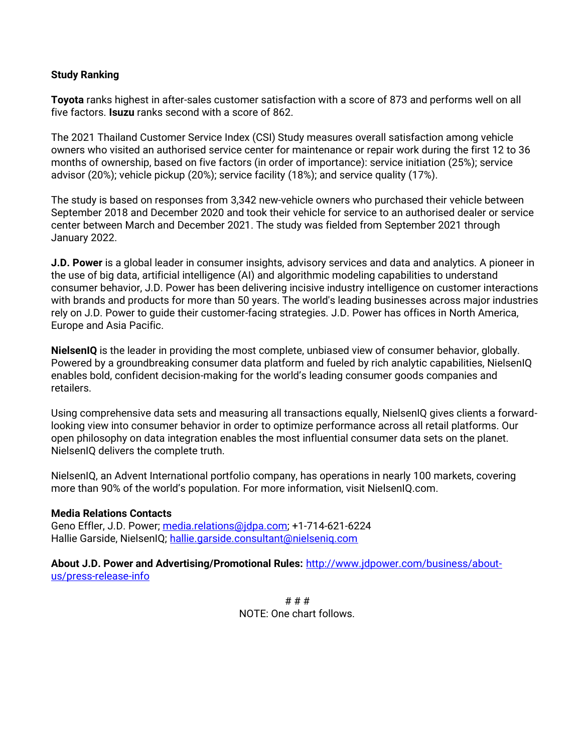## **Study Ranking**

**Toyota** ranks highest in after-sales customer satisfaction with a score of 873 and performs well on all five factors. **Isuzu** ranks second with a score of 862.

The 2021 Thailand Customer Service Index (CSI) Study measures overall satisfaction among vehicle owners who visited an authorised service center for maintenance or repair work during the first 12 to 36 months of ownership, based on five factors (in order of importance): service initiation (25%); service advisor (20%); vehicle pickup (20%); service facility (18%); and service quality (17%).

The study is based on responses from 3,342 new-vehicle owners who purchased their vehicle between September 2018 and December 2020 and took their vehicle for service to an authorised dealer or service center between March and December 2021. The study was fielded from September 2021 through January 2022.

**J.D. Power** is a global leader in consumer insights, advisory services and data and analytics. A pioneer in the use of big data, artificial intelligence (AI) and algorithmic modeling capabilities to understand consumer behavior, J.D. Power has been delivering incisive industry intelligence on customer interactions with brands and products for more than 50 years. The world's leading businesses across major industries rely on J.D. Power to guide their customer-facing strategies. J.D. Power has offices in North America, Europe and Asia Pacific.

**NielsenIQ** is the leader in providing the most complete, unbiased view of consumer behavior, globally. Powered by a groundbreaking consumer data platform and fueled by rich analytic capabilities, NielsenIQ enables bold, confident decision-making for the world's leading consumer goods companies and retailers.

Using comprehensive data sets and measuring all transactions equally, NielsenIQ gives clients a forwardlooking view into consumer behavior in order to optimize performance across all retail platforms. Our open philosophy on data integration enables the most influential consumer data sets on the planet. NielsenIQ delivers the complete truth.

NielsenIQ, an Advent International portfolio company, has operations in nearly 100 markets, covering more than 90% of the world's population. For more information, visit NielsenIQ.com.

## **Media Relations Contacts**

Geno Effler, J.D. Power; media.relations@idpa.com; +1-714-621-6224 Hallie Garside, NielsenIQ; hallie.garside.consultant@nielseniq.com

**About J.D. Power and Advertising/Promotional Rules:** [http://www.jdpower.com/business/about](http://www.jdpower.com/business/about-us/press-release-info)[us/press-release-info](http://www.jdpower.com/business/about-us/press-release-info)

> # # # NOTE: One chart follows.